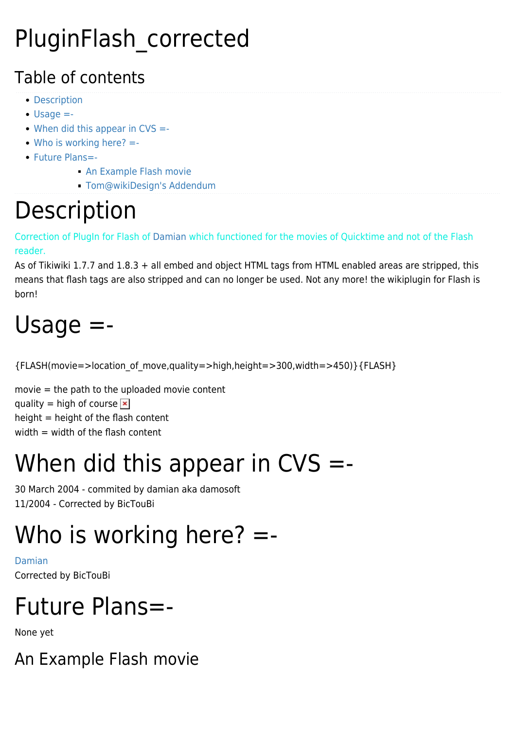#### PluginFlash\_corrected

#### Table of contents

- [Description](#page--1-0)
- [Usage =-](#page--1-0)
- $\bullet$  [When did this appear in CVS =-](#page--1-0)
- [Who is working here? =-](#page--1-0)
- [Future Plans=-](#page--1-0)
	- [An Example Flash movie](#page--1-0)
	- [Tom@wikiDesign's Addendum](#page--1-0)

#### **Description**

Correction of PlugIn for Flash of [Damian](https://tiki.org/Damian) which functioned for the movies of Quicktime and not of the Flash reader.

As of Tikiwiki 1.7.7 and 1.8.3 + all embed and object HTML tags from HTML enabled areas are stripped, this means that flash tags are also stripped and can no longer be used. Not any more! the wikiplugin for Flash is born!

## Usage =-

{FLASH(movie=>location\_of\_move,quality=>high,height=>300,width=>450)}{FLASH}

movie = the path to the uploaded movie content quality = high of course  $\mathbf{\overline{x}}$ height  $=$  height of the flash content width  $=$  width of the flash content

## When did this appear in  $CVS = -$

30 March 2004 - commited by damian aka damosoft 11/2004 - Corrected by BicTouBi

# Who is working here?  $=$

[Damian](https://tiki.org/Damian) Corrected by [BicTouBi](https://tiki.org/tiki-editpage.php?page=BicTouBi)

## Future Plans=-

None yet

An Example Flash movie